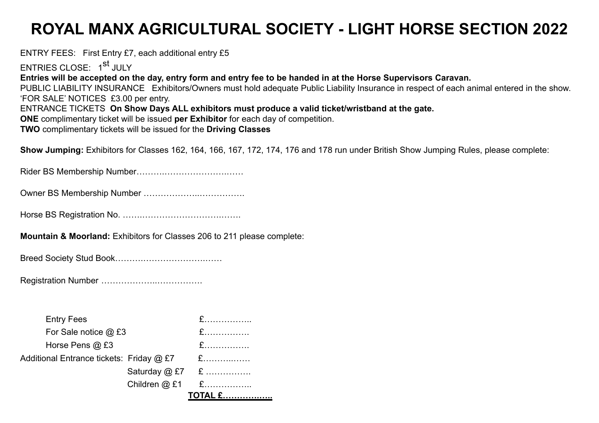## **ROYAL MANX AGRICULTURAL SOCIETY - LIGHT HORSE SECTION 2022**

ENTRY FEES: First Entry £7, each additional entry £5 ENTRIES CLOSE: 1<sup>st</sup> JULY **Entries will be accepted on the day, entry form and entry fee to be handed in at the Horse Supervisors Caravan.** PUBLIC LIABILITY INSURANCE Exhibitors/Owners must hold adequate Public Liability Insurance in respect of each animal entered in the show. 'FOR SALE' NOTICES £3.00 per entry. ENTRANCE TICKETS **On Show Days ALL exhibitors must produce a valid ticket/wristband at the gate. ONE** complimentary ticket will be issued **per Exhibitor** for each day of competition. **TWO** complimentary tickets will be issued for the **Driving Classes**

**Show Jumping:** Exhibitors for Classes 162, 164, 166, 167, 172, 174, 176 and 178 run under British Show Jumping Rules, please complete:

Rider BS Membership Number……….………………….……

Owner BS Membership Number ………………..…………….

Horse BS Registration No. …….……………………….…….

**Mountain & Moorland:** Exhibitors for Classes 206 to 211 please complete:

Breed Society Stud Book……….………………….……

Registration Number ………………..…………….

| <b>Entry Fees</b>                        |                                                                                                                                                                                                                                                                                                  |                    |
|------------------------------------------|--------------------------------------------------------------------------------------------------------------------------------------------------------------------------------------------------------------------------------------------------------------------------------------------------|--------------------|
| For Sale notice @ £3                     | $\mathbf{F}$ and $\mathbf{F}$ and $\mathbf{F}$ and $\mathbf{F}$ and $\mathbf{F}$ and $\mathbf{F}$ and $\mathbf{F}$ and $\mathbf{F}$ and $\mathbf{F}$ and $\mathbf{F}$ and $\mathbf{F}$ and $\mathbf{F}$ and $\mathbf{F}$ and $\mathbf{F}$ and $\mathbf{F}$ and $\mathbf{F}$ and $\mathbf{F}$ and |                    |
| Horse Pens @ £3                          |                                                                                                                                                                                                                                                                                                  |                    |
| Additional Entrance tickets: Friday @ £7 |                                                                                                                                                                                                                                                                                                  | E.                 |
|                                          |                                                                                                                                                                                                                                                                                                  | Saturday $@E7 \tE$ |
|                                          | Children $@$ £1                                                                                                                                                                                                                                                                                  | $\mathbf{E}$       |
|                                          |                                                                                                                                                                                                                                                                                                  |                    |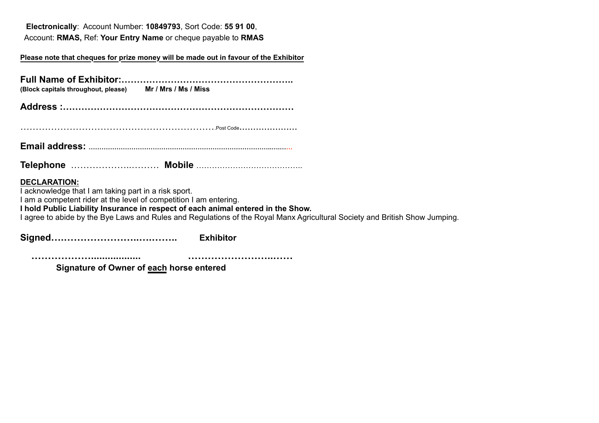**Electronically**: Account Number: **10849793**, Sort Code: **55 91 00**, Account: **RMAS,** Ref: **Your Entry Name** or cheque payable to **RMAS**

## **Please note that cheques for prize money will be made out in favour of the Exhibitor**

| (Block capitals throughout, please) Mr / Mrs / Ms / Miss |  |  |  |  |  |  |  |  |
|----------------------------------------------------------|--|--|--|--|--|--|--|--|
|                                                          |  |  |  |  |  |  |  |  |
|                                                          |  |  |  |  |  |  |  |  |

**Email address: …………………………………………………………………………..….……**

**Telephone** ………………..……… **Mobile** …………………………………..

## **DECLARATION:**

I acknowledge that I am taking part in a risk sport.

I am a competent rider at the level of competition I am entering.

**I hold Public Liability Insurance in respect of each animal entered in the Show.**

I agree to abide by the Bye Laws and Rules and Regulations of the Royal Manx Agricultural Society and British Show Jumping.

**Signed….…………………..….…….. Exhibitor**

 **……………….................. ……………………..……** 

 **Signature of Owner of each horse entered**